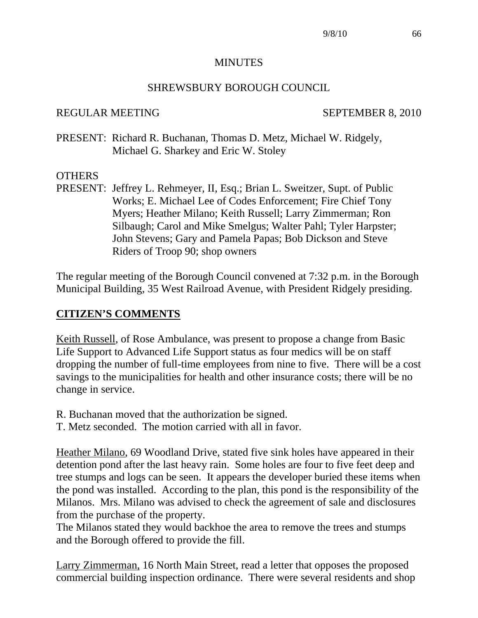#### **MINUTES**

#### SHREWSBURY BOROUGH COUNCIL

#### REGULAR MEETING SEPTEMBER 8, 2010

PRESENT: Richard R. Buchanan, Thomas D. Metz, Michael W. Ridgely, Michael G. Sharkey and Eric W. Stoley

#### **OTHERS**

PRESENT: Jeffrey L. Rehmeyer, II, Esq.; Brian L. Sweitzer, Supt. of Public Works; E. Michael Lee of Codes Enforcement; Fire Chief Tony Myers; Heather Milano; Keith Russell; Larry Zimmerman; Ron Silbaugh; Carol and Mike Smelgus; Walter Pahl; Tyler Harpster; John Stevens; Gary and Pamela Papas; Bob Dickson and Steve Riders of Troop 90; shop owners

The regular meeting of the Borough Council convened at 7:32 p.m. in the Borough Municipal Building, 35 West Railroad Avenue, with President Ridgely presiding.

#### **CITIZEN'S COMMENTS**

Keith Russell, of Rose Ambulance, was present to propose a change from Basic Life Support to Advanced Life Support status as four medics will be on staff dropping the number of full-time employees from nine to five. There will be a cost savings to the municipalities for health and other insurance costs; there will be no change in service.

- R. Buchanan moved that the authorization be signed.
- T. Metz seconded. The motion carried with all in favor.

Heather Milano, 69 Woodland Drive, stated five sink holes have appeared in their detention pond after the last heavy rain. Some holes are four to five feet deep and tree stumps and logs can be seen. It appears the developer buried these items when the pond was installed. According to the plan, this pond is the responsibility of the Milanos. Mrs. Milano was advised to check the agreement of sale and disclosures from the purchase of the property.

The Milanos stated they would backhoe the area to remove the trees and stumps and the Borough offered to provide the fill.

Larry Zimmerman, 16 North Main Street, read a letter that opposes the proposed commercial building inspection ordinance. There were several residents and shop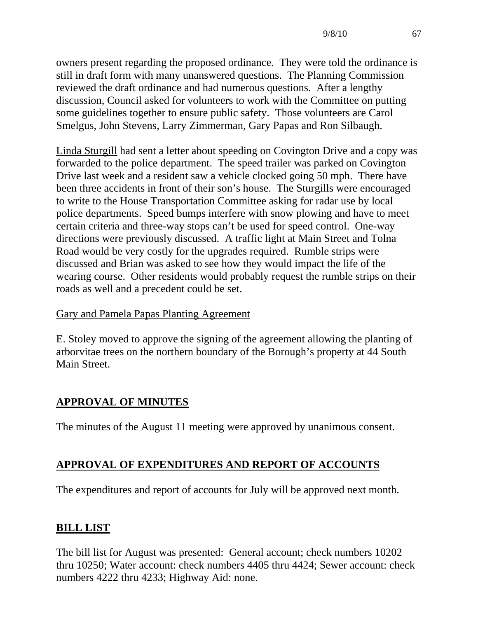owners present regarding the proposed ordinance. They were told the ordinance is still in draft form with many unanswered questions. The Planning Commission reviewed the draft ordinance and had numerous questions. After a lengthy discussion, Council asked for volunteers to work with the Committee on putting some guidelines together to ensure public safety. Those volunteers are Carol Smelgus, John Stevens, Larry Zimmerman, Gary Papas and Ron Silbaugh.

Linda Sturgill had sent a letter about speeding on Covington Drive and a copy was forwarded to the police department. The speed trailer was parked on Covington Drive last week and a resident saw a vehicle clocked going 50 mph. There have been three accidents in front of their son's house. The Sturgills were encouraged to write to the House Transportation Committee asking for radar use by local police departments. Speed bumps interfere with snow plowing and have to meet certain criteria and three-way stops can't be used for speed control. One-way directions were previously discussed. A traffic light at Main Street and Tolna Road would be very costly for the upgrades required. Rumble strips were discussed and Brian was asked to see how they would impact the life of the wearing course. Other residents would probably request the rumble strips on their roads as well and a precedent could be set.

### Gary and Pamela Papas Planting Agreement

E. Stoley moved to approve the signing of the agreement allowing the planting of arborvitae trees on the northern boundary of the Borough's property at 44 South Main Street.

# **APPROVAL OF MINUTES**

The minutes of the August 11 meeting were approved by unanimous consent.

# **APPROVAL OF EXPENDITURES AND REPORT OF ACCOUNTS**

The expenditures and report of accounts for July will be approved next month.

# **BILL LIST**

The bill list for August was presented: General account; check numbers 10202 thru 10250; Water account: check numbers 4405 thru 4424; Sewer account: check numbers 4222 thru 4233; Highway Aid: none.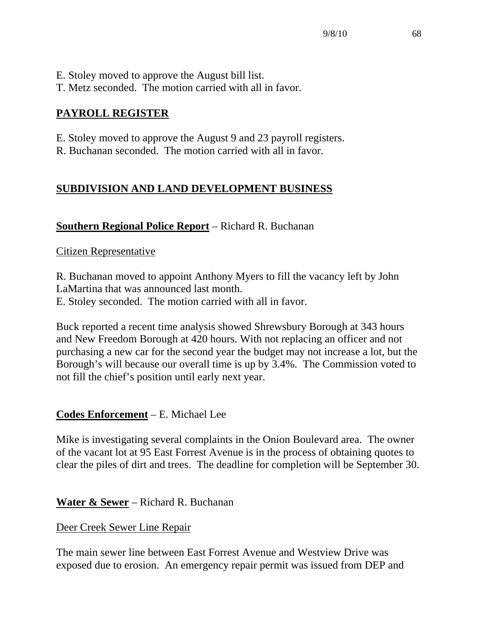- E. Stoley moved to approve the August bill list.
- T. Metz seconded. The motion carried with all in favor.

# **PAYROLL REGISTER**

- E. Stoley moved to approve the August 9 and 23 payroll registers.
- R. Buchanan seconded. The motion carried with all in favor.

# **SUBDIVISION AND LAND DEVELOPMENT BUSINESS**

# **Southern Regional Police Report** – Richard R. Buchanan

# Citizen Representative

R. Buchanan moved to appoint Anthony Myers to fill the vacancy left by John LaMartina that was announced last month.

E. Stoley seconded. The motion carried with all in favor.

Buck reported a recent time analysis showed Shrewsbury Borough at 343 hours and New Freedom Borough at 420 hours. With not replacing an officer and not purchasing a new car for the second year the budget may not increase a lot, but the Borough's will because our overall time is up by 3.4%. The Commission voted to not fill the chief's position until early next year.

# **Codes Enforcement** – E. Michael Lee

Mike is investigating several complaints in the Onion Boulevard area. The owner of the vacant lot at 95 East Forrest Avenue is in the process of obtaining quotes to clear the piles of dirt and trees. The deadline for completion will be September 30.

# **Water & Sewer** – Richard R. Buchanan

# Deer Creek Sewer Line Repair

The main sewer line between East Forrest Avenue and Westview Drive was exposed due to erosion. An emergency repair permit was issued from DEP and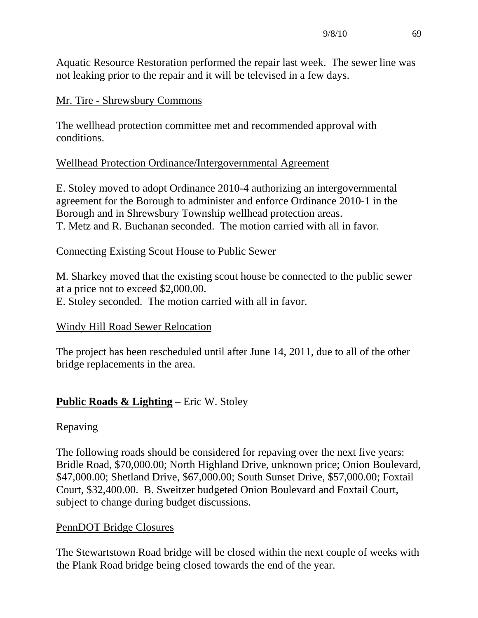Aquatic Resource Restoration performed the repair last week. The sewer line was not leaking prior to the repair and it will be televised in a few days.

## Mr. Tire - Shrewsbury Commons

The wellhead protection committee met and recommended approval with conditions.

# Wellhead Protection Ordinance/Intergovernmental Agreement

E. Stoley moved to adopt Ordinance 2010-4 authorizing an intergovernmental agreement for the Borough to administer and enforce Ordinance 2010-1 in the Borough and in Shrewsbury Township wellhead protection areas. T. Metz and R. Buchanan seconded. The motion carried with all in favor.

# Connecting Existing Scout House to Public Sewer

M. Sharkey moved that the existing scout house be connected to the public sewer at a price not to exceed \$2,000.00. E. Stoley seconded. The motion carried with all in favor.

# Windy Hill Road Sewer Relocation

The project has been rescheduled until after June 14, 2011, due to all of the other bridge replacements in the area.

# **Public Roads & Lighting** – Eric W. Stoley

### Repaving

The following roads should be considered for repaving over the next five years: Bridle Road, \$70,000.00; North Highland Drive, unknown price; Onion Boulevard, \$47,000.00; Shetland Drive, \$67,000.00; South Sunset Drive, \$57,000.00; Foxtail Court, \$32,400.00. B. Sweitzer budgeted Onion Boulevard and Foxtail Court, subject to change during budget discussions.

# PennDOT Bridge Closures

The Stewartstown Road bridge will be closed within the next couple of weeks with the Plank Road bridge being closed towards the end of the year.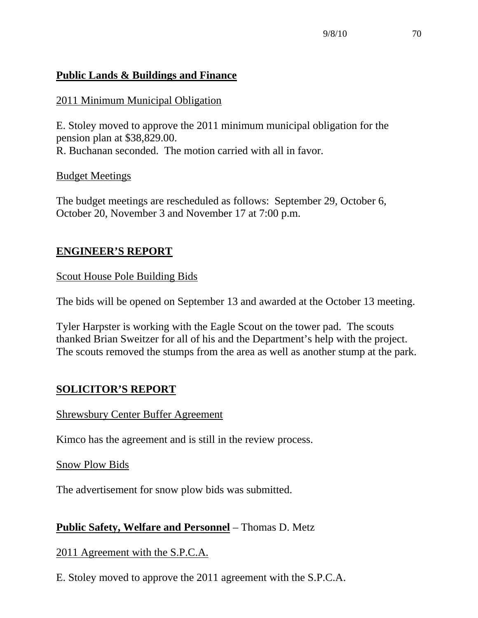# **Public Lands & Buildings and Finance**

# 2011 Minimum Municipal Obligation

E. Stoley moved to approve the 2011 minimum municipal obligation for the pension plan at \$38,829.00. R. Buchanan seconded. The motion carried with all in favor.

# Budget Meetings

The budget meetings are rescheduled as follows: September 29, October 6, October 20, November 3 and November 17 at 7:00 p.m.

# **ENGINEER'S REPORT**

Scout House Pole Building Bids

The bids will be opened on September 13 and awarded at the October 13 meeting.

Tyler Harpster is working with the Eagle Scout on the tower pad. The scouts thanked Brian Sweitzer for all of his and the Department's help with the project. The scouts removed the stumps from the area as well as another stump at the park.

# **SOLICITOR'S REPORT**

# Shrewsbury Center Buffer Agreement

Kimco has the agreement and is still in the review process.

Snow Plow Bids

The advertisement for snow plow bids was submitted.

# **Public Safety, Welfare and Personnel** – Thomas D. Metz

2011 Agreement with the S.P.C.A.

E. Stoley moved to approve the 2011 agreement with the S.P.C.A.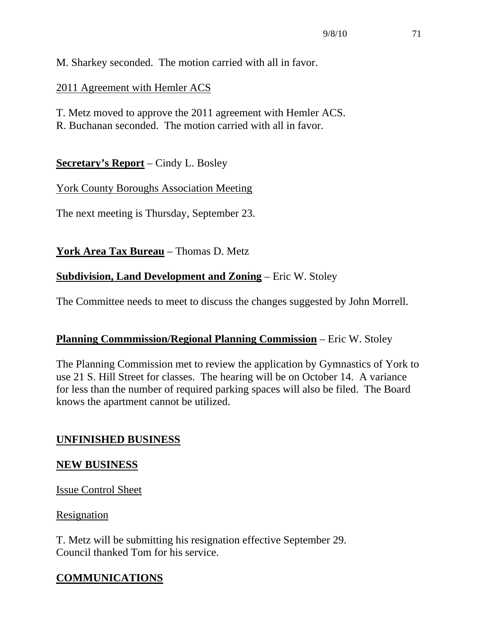M. Sharkey seconded. The motion carried with all in favor.

## 2011 Agreement with Hemler ACS

T. Metz moved to approve the 2011 agreement with Hemler ACS.

R. Buchanan seconded. The motion carried with all in favor.

**Secretary's Report** – Cindy L. Bosley

# York County Boroughs Association Meeting

The next meeting is Thursday, September 23.

**York Area Tax Bureau** – Thomas D. Metz

# **Subdivision, Land Development and Zoning** – Eric W. Stoley

The Committee needs to meet to discuss the changes suggested by John Morrell.

# **Planning Commmission/Regional Planning Commission** – Eric W. Stoley

The Planning Commission met to review the application by Gymnastics of York to use 21 S. Hill Street for classes. The hearing will be on October 14. A variance for less than the number of required parking spaces will also be filed. The Board knows the apartment cannot be utilized.

# **UNFINISHED BUSINESS**

# **NEW BUSINESS**

Issue Control Sheet

### Resignation

T. Metz will be submitting his resignation effective September 29. Council thanked Tom for his service.

# **COMMUNICATIONS**